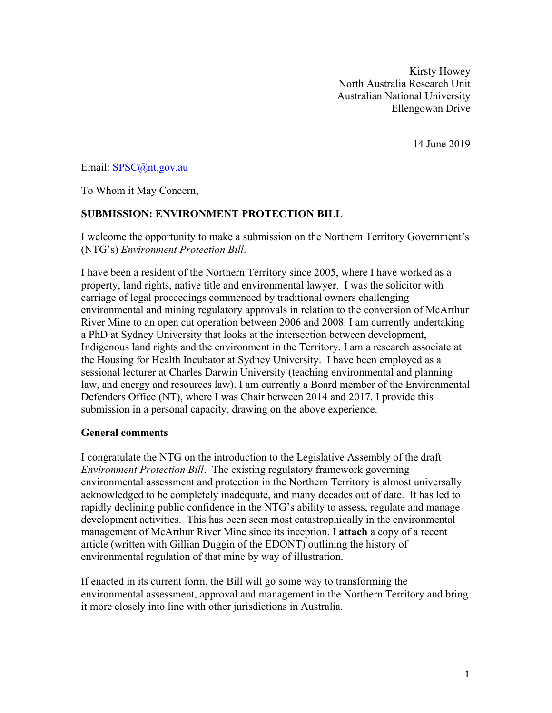Kirsty Howey North Australia Research Unit Australian National University Ellengowan Drive

14 June 2019

Email: SPSC@nt.gov.au

To Whom it May Concern,

#### **SUBMISSION: ENVIRONMENT PROTECTION BILL**

I welcome the opportunity to make a submission on the Northern Territory Government's (NTG's) *Environment Protection Bill*.

I have been a resident of the Northern Territory since 2005, where I have worked as a property, land rights, native title and environmental lawyer. I was the solicitor with carriage of legal proceedings commenced by traditional owners challenging environmental and mining regulatory approvals in relation to the conversion of McArthur River Mine to an open cut operation between 2006 and 2008. I am currently undertaking a PhD at Sydney University that looks at the intersection between development, Indigenous land rights and the environment in the Territory. I am a research associate at the Housing for Health Incubator at Sydney University. I have been employed as a sessional lecturer at Charles Darwin University (teaching environmental and planning law, and energy and resources law). I am currently a Board member of the Environmental Defenders Office (NT), where I was Chair between 2014 and 2017. I provide this submission in a personal capacity, drawing on the above experience.

#### **General comments**

I congratulate the NTG on the introduction to the Legislative Assembly of the draft *Environment Protection Bill*. The existing regulatory framework governing environmental assessment and protection in the Northern Territory is almost universally acknowledged to be completely inadequate, and many decades out of date. It has led to rapidly declining public confidence in the NTG's ability to assess, regulate and manage development activities. This has been seen most catastrophically in the environmental management of McArthur River Mine since its inception. I **attach** a copy of a recent article (written with Gillian Duggin of the EDONT) outlining the history of environmental regulation of that mine by way of illustration.

If enacted in its current form, the Bill will go some way to transforming the environmental assessment, approval and management in the Northern Territory and bring it more closely into line with other jurisdictions in Australia.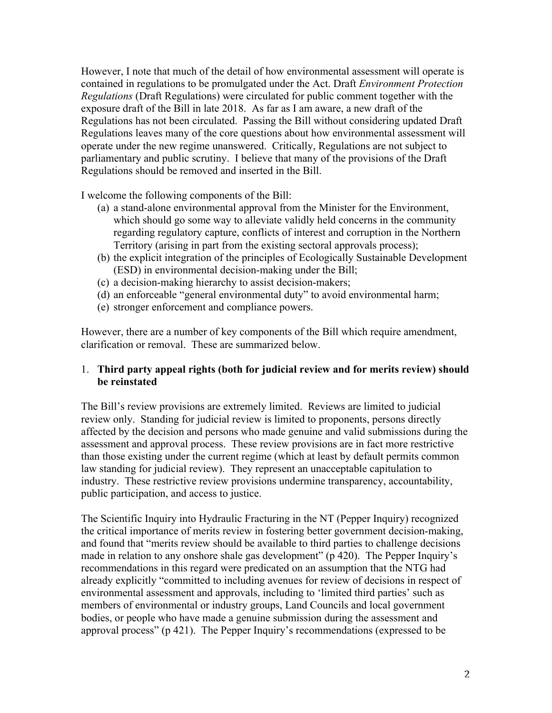However, I note that much of the detail of how environmental assessment will operate is contained in regulations to be promulgated under the Act. Draft *Environment Protection Regulations* (Draft Regulations) were circulated for public comment together with the exposure draft of the Bill in late 2018. As far as I am aware, a new draft of the Regulations has not been circulated. Passing the Bill without considering updated Draft Regulations leaves many of the core questions about how environmental assessment will operate under the new regime unanswered. Critically, Regulations are not subject to parliamentary and public scrutiny. I believe that many of the provisions of the Draft Regulations should be removed and inserted in the Bill.

I welcome the following components of the Bill:

- (a) a stand-alone environmental approval from the Minister for the Environment, which should go some way to alleviate validly held concerns in the community regarding regulatory capture, conflicts of interest and corruption in the Northern Territory (arising in part from the existing sectoral approvals process);
- (b) the explicit integration of the principles of Ecologically Sustainable Development (ESD) in environmental decision-making under the Bill;
- (c) a decision-making hierarchy to assist decision-makers;
- (d) an enforceable "general environmental duty" to avoid environmental harm;
- (e) stronger enforcement and compliance powers.

However, there are a number of key components of the Bill which require amendment, clarification or removal. These are summarized below.

## 1. **Third party appeal rights (both for judicial review and for merits review) should be reinstated**

The Bill's review provisions are extremely limited. Reviews are limited to judicial review only. Standing for judicial review is limited to proponents, persons directly affected by the decision and persons who made genuine and valid submissions during the assessment and approval process. These review provisions are in fact more restrictive than those existing under the current regime (which at least by default permits common law standing for judicial review). They represent an unacceptable capitulation to industry. These restrictive review provisions undermine transparency, accountability, public participation, and access to justice.

The Scientific Inquiry into Hydraulic Fracturing in the NT (Pepper Inquiry) recognized the critical importance of merits review in fostering better government decision-making, and found that "merits review should be available to third parties to challenge decisions made in relation to any onshore shale gas development" (p 420). The Pepper Inquiry's recommendations in this regard were predicated on an assumption that the NTG had already explicitly "committed to including avenues for review of decisions in respect of environmental assessment and approvals, including to 'limited third parties' such as members of environmental or industry groups, Land Councils and local government bodies, or people who have made a genuine submission during the assessment and approval process" (p 421). The Pepper Inquiry's recommendations (expressed to be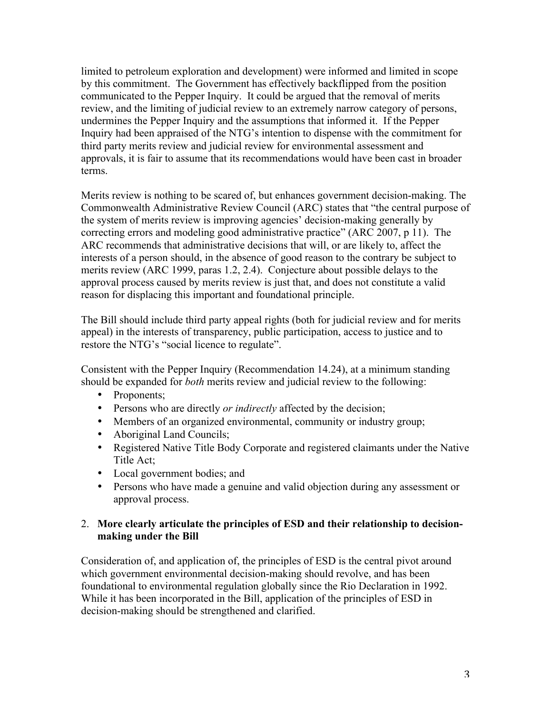limited to petroleum exploration and development) were informed and limited in scope by this commitment. The Government has effectively backflipped from the position communicated to the Pepper Inquiry. It could be argued that the removal of merits review, and the limiting of judicial review to an extremely narrow category of persons, undermines the Pepper Inquiry and the assumptions that informed it. If the Pepper Inquiry had been appraised of the NTG's intention to dispense with the commitment for third party merits review and judicial review for environmental assessment and approvals, it is fair to assume that its recommendations would have been cast in broader terms.

Merits review is nothing to be scared of, but enhances government decision-making. The Commonwealth Administrative Review Council (ARC) states that "the central purpose of the system of merits review is improving agencies' decision-making generally by correcting errors and modeling good administrative practice" (ARC 2007, p 11). The ARC recommends that administrative decisions that will, or are likely to, affect the interests of a person should, in the absence of good reason to the contrary be subject to merits review (ARC 1999, paras 1.2, 2.4). Conjecture about possible delays to the approval process caused by merits review is just that, and does not constitute a valid reason for displacing this important and foundational principle.

The Bill should include third party appeal rights (both for judicial review and for merits appeal) in the interests of transparency, public participation, access to justice and to restore the NTG's "social licence to regulate".

Consistent with the Pepper Inquiry (Recommendation 14.24), at a minimum standing should be expanded for *both* merits review and judicial review to the following:

- Proponents:
- Persons who are directly *or indirectly* affected by the decision;
- Members of an organized environmental, community or industry group;
- Aboriginal Land Councils;
- Registered Native Title Body Corporate and registered claimants under the Native Title Act;
- Local government bodies; and
- Persons who have made a genuine and valid objection during any assessment or approval process.

## 2. **More clearly articulate the principles of ESD and their relationship to decisionmaking under the Bill**

Consideration of, and application of, the principles of ESD is the central pivot around which government environmental decision-making should revolve, and has been foundational to environmental regulation globally since the Rio Declaration in 1992. While it has been incorporated in the Bill, application of the principles of ESD in decision-making should be strengthened and clarified.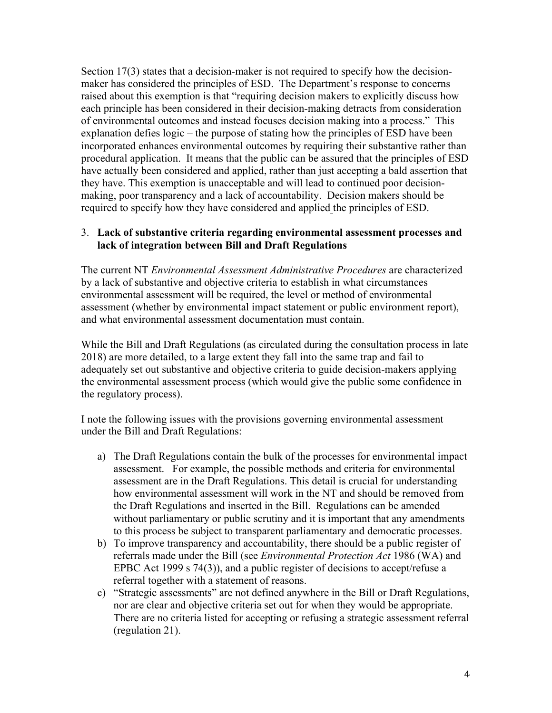Section 17(3) states that a decision-maker is not required to specify how the decisionmaker has considered the principles of ESD. The Department's response to concerns raised about this exemption is that "requiring decision makers to explicitly discuss how each principle has been considered in their decision-making detracts from consideration of environmental outcomes and instead focuses decision making into a process." This explanation defies logic – the purpose of stating how the principles of ESD have been incorporated enhances environmental outcomes by requiring their substantive rather than procedural application. It means that the public can be assured that the principles of ESD have actually been considered and applied, rather than just accepting a bald assertion that they have. This exemption is unacceptable and will lead to continued poor decisionmaking, poor transparency and a lack of accountability. Decision makers should be required to specify how they have considered and applied the principles of ESD.

#### 3. **Lack of substantive criteria regarding environmental assessment processes and lack of integration between Bill and Draft Regulations**

The current NT *Environmental Assessment Administrative Procedures* are characterized by a lack of substantive and objective criteria to establish in what circumstances environmental assessment will be required, the level or method of environmental assessment (whether by environmental impact statement or public environment report), and what environmental assessment documentation must contain.

While the Bill and Draft Regulations (as circulated during the consultation process in late 2018) are more detailed, to a large extent they fall into the same trap and fail to adequately set out substantive and objective criteria to guide decision-makers applying the environmental assessment process (which would give the public some confidence in the regulatory process).

I note the following issues with the provisions governing environmental assessment under the Bill and Draft Regulations:

- a) The Draft Regulations contain the bulk of the processes for environmental impact assessment. For example, the possible methods and criteria for environmental assessment are in the Draft Regulations. This detail is crucial for understanding how environmental assessment will work in the NT and should be removed from the Draft Regulations and inserted in the Bill. Regulations can be amended without parliamentary or public scrutiny and it is important that any amendments to this process be subject to transparent parliamentary and democratic processes.
- b) To improve transparency and accountability, there should be a public register of referrals made under the Bill (see *Environmental Protection Act* 1986 (WA) and EPBC Act 1999 s 74(3)), and a public register of decisions to accept/refuse a referral together with a statement of reasons.
- c) "Strategic assessments" are not defined anywhere in the Bill or Draft Regulations, nor are clear and objective criteria set out for when they would be appropriate. There are no criteria listed for accepting or refusing a strategic assessment referral (regulation 21).